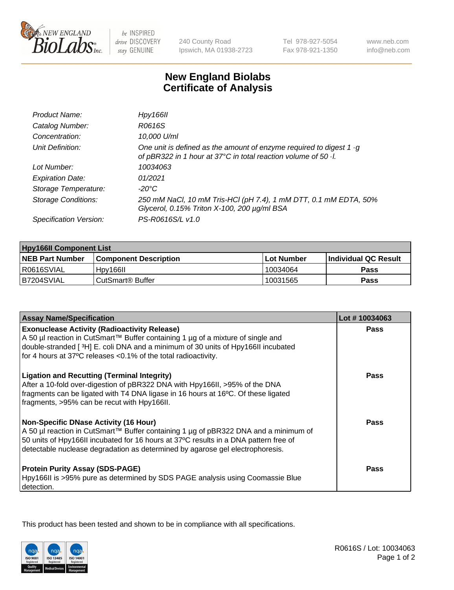

be INSPIRED drive DISCOVERY stay GENUINE

240 County Road Ipswich, MA 01938-2723 Tel 978-927-5054 Fax 978-921-1350

www.neb.com info@neb.com

## **New England Biolabs Certificate of Analysis**

| Hpy166II                                                                                                                                      |
|-----------------------------------------------------------------------------------------------------------------------------------------------|
| R0616S                                                                                                                                        |
| 10,000 U/ml                                                                                                                                   |
| One unit is defined as the amount of enzyme required to digest 1 $\cdot$ g<br>of pBR322 in 1 hour at 37°C in total reaction volume of 50 · l. |
| 10034063                                                                                                                                      |
| 01/2021                                                                                                                                       |
| -20°C                                                                                                                                         |
| 250 mM NaCl, 10 mM Tris-HCl (pH 7.4), 1 mM DTT, 0.1 mM EDTA, 50%<br>Glycerol, 0.15% Triton X-100, 200 µg/ml BSA                               |
| PS-R0616S/L v1.0                                                                                                                              |
|                                                                                                                                               |

| <b>Hpy166II Component List</b> |                              |                   |                             |  |
|--------------------------------|------------------------------|-------------------|-----------------------------|--|
| <b>NEB Part Number</b>         | <b>Component Description</b> | <b>Lot Number</b> | <b>Individual QC Result</b> |  |
| I R0616SVIAL                   | Hpy166II                     | 10034064          | <b>Pass</b>                 |  |
| B7204SVIAL                     | l CutSmart® Buffer           | 10031565          | Pass                        |  |

| <b>Assay Name/Specification</b>                                                                                                                                                                                                                                                                              | Lot #10034063 |
|--------------------------------------------------------------------------------------------------------------------------------------------------------------------------------------------------------------------------------------------------------------------------------------------------------------|---------------|
| <b>Exonuclease Activity (Radioactivity Release)</b><br>A 50 µl reaction in CutSmart™ Buffer containing 1 µg of a mixture of single and                                                                                                                                                                       | <b>Pass</b>   |
| double-stranded [3H] E. coli DNA and a minimum of 30 units of Hpy166II incubated<br>for 4 hours at 37°C releases <0.1% of the total radioactivity.                                                                                                                                                           |               |
| <b>Ligation and Recutting (Terminal Integrity)</b><br>After a 10-fold over-digestion of pBR322 DNA with Hpy166II, >95% of the DNA<br>fragments can be ligated with T4 DNA ligase in 16 hours at 16°C. Of these ligated<br>fragments, >95% can be recut with Hpy166II.                                        | <b>Pass</b>   |
| <b>Non-Specific DNase Activity (16 Hour)</b><br>A 50 µl reaction in CutSmart™ Buffer containing 1 µg of pBR322 DNA and a minimum of<br>50 units of Hpy166II incubated for 16 hours at 37°C results in a DNA pattern free of<br>detectable nuclease degradation as determined by agarose gel electrophoresis. | Pass          |
| <b>Protein Purity Assay (SDS-PAGE)</b><br>Hpy166II is >95% pure as determined by SDS PAGE analysis using Coomassie Blue<br>detection.                                                                                                                                                                        | <b>Pass</b>   |

This product has been tested and shown to be in compliance with all specifications.